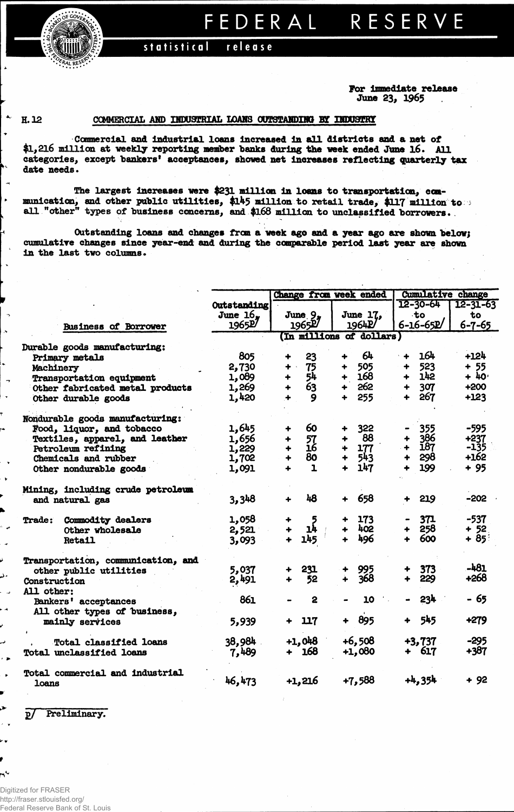**FRALRESERY** 

## **FEDERA L RESERV E**

statistical **release** 

> **For Immediate release June 23, 1965**

 $\bullet$ 

i.

n٩

## **H. 12 COMMERCIAL AND INDUSTRIAL LOANS OOTSTAHDUB BT UUJUaEHi**

**Commercial and Industrial loans Increased In all districts and a net of \$1,216 million at weekly reporting member banks during the week ended June 16. All categories, except "bankers' acceptances, showed net increases reflecting quarterly tax date needs.**

**The largest increases were \$231 million in loans to transportation, communication, and other public utilities, \$145 million to retail trade, \$117 million to all "other" types of business concerns, and\$l68 million to unclassified borrowers.**

**Outstanding loans and changes from a week ago and a year ago are shown below; cumulative changes since year-end and during the comparable period last year are Shown in the last two columns.**

|                                    |             | Change from week ended |                    |                      |                          |                      |                 | <b>Cumulative change</b> |  |  |  |
|------------------------------------|-------------|------------------------|--------------------|----------------------|--------------------------|----------------------|-----------------|--------------------------|--|--|--|
|                                    | Outstanding |                        |                    |                      |                          | $12 - 30 - 64$       |                 | $12 - 31 - 63$           |  |  |  |
|                                    | June $16.$  |                        | June $9n$          |                      | June 17,                 |                      | ∙to             | to                       |  |  |  |
| <b>Business of Borrower</b>        | 1965P       |                        | 1965 <sup>27</sup> |                      | 1964P                    |                      | $6 - 16 - 65P$  | $6 - 7 - 65$             |  |  |  |
|                                    |             |                        |                    |                      | (In millions of dollars) |                      |                 |                          |  |  |  |
| Durable goods manufacturing:       |             |                        |                    |                      |                          |                      |                 |                          |  |  |  |
| Primary metals                     | 805         | $\ddot{\phantom{1}}$   | 23                 |                      | 64                       | $\ddot{\bullet}$     | 164             | $+124$                   |  |  |  |
| Machinery                          | 2,730       | ÷                      | 75                 |                      | 505                      | ┿                    | 523             | $+ 55$                   |  |  |  |
| <b>Transportation equipment</b>    | 1,089       | $\ddot{}$              | 54                 |                      | 168                      | 4                    | 142             | $+40$                    |  |  |  |
| Other fabricated metal products    | 1,269       | $\ddot{}$              | 63                 |                      | $+ 262$                  | +                    | 307             | $+200$                   |  |  |  |
| Other durable goods                | 1,420       |                        | 9                  | ÷                    | 255                      | 4                    | 267             | $+123$                   |  |  |  |
| Nondurable goods manufacturing:    |             |                        |                    |                      |                          |                      |                 |                          |  |  |  |
| Food, liquor, and tobacco          | 1,645       | $\ddotmark$            | 60                 | ٠                    | 322                      |                      | 355             | $-595$                   |  |  |  |
| Textiles, apparel, and leather     | 1,656       | ۰                      |                    | ٠                    | 88                       | $\ddotmark$          | 386             | +237                     |  |  |  |
| Petroleum refining                 | 1,229       | $\ddag$                | $\frac{57}{16}$    | ₩                    | 177                      | $\ddotmark$          | <b>187</b>      | -135                     |  |  |  |
| Chemicals and rubber               | 1,702       | $\ddot{+}$             | 80                 | $\ddot{\phantom{1}}$ | 543                      | ╇                    | 298             | $+162$                   |  |  |  |
| Other nondurable goods             | 1,091       | 4                      | $\mathbf{1}$       | ÷                    | 147                      |                      | 199             | $+95$                    |  |  |  |
| Mining, including crude petroleum  |             |                        |                    |                      |                          |                      |                 |                          |  |  |  |
| and natural gas                    | 3,348       | $\ddotmark$            | 48                 | ╇                    | 658                      |                      | 219             | $-202 -$                 |  |  |  |
| Commodity dealers<br><b>Trade:</b> | 1,058       |                        | 5                  |                      | 173                      |                      | 371             | $-537$                   |  |  |  |
| Other wholesale                    | 2,521       |                        | 14                 |                      | 402                      |                      | 258             | $+ 52$                   |  |  |  |
| <b>Retail</b>                      | 3,093       |                        | 145                | $\ddot{\phantom{1}}$ | 496                      | $\ddot{\phantom{1}}$ | 600             | + 85                     |  |  |  |
| Transportation, communication, and |             |                        |                    |                      |                          |                      |                 |                          |  |  |  |
| other public utilities             | 5,037       |                        | 231                |                      | 995                      |                      | 373             | $-481$                   |  |  |  |
| Construction                       | 2,491       |                        | 52                 |                      | 368                      | $\ddot{\phantom{1}}$ | 229             | +268                     |  |  |  |
| All other:                         |             |                        |                    |                      |                          |                      |                 |                          |  |  |  |
| Bankers' acceptances               | 861         |                        | 2                  |                      | 10                       |                      | 23 <sup>k</sup> | - 65                     |  |  |  |
| All other types of business,       |             |                        |                    |                      |                          |                      |                 |                          |  |  |  |
| mainly services                    | 5,939       |                        | 117                |                      | 895                      | ┿                    | 545             | +279                     |  |  |  |
| <b>Total classified loans</b>      | 38,984      |                        | $+1,048$           |                      | $+6,508$                 |                      | $+3,737$        | $-295$                   |  |  |  |
| Total unclassified loans           | 7,489       |                        | $+ 168$            |                      | +1,080                   |                      | + 617           | +387                     |  |  |  |
| Total commercial and industrial    |             |                        |                    |                      |                          |                      |                 |                          |  |  |  |
| <b>loans</b>                       | 46,473      |                        | $+1,216$           |                      | $+7,588$                 |                      | $+4,354$        | + 92                     |  |  |  |

**g7 Preliminary.**

Digitized for FRASER http://fraser.stlouisfed.org/ Federal Reserve Bank of St. Louis